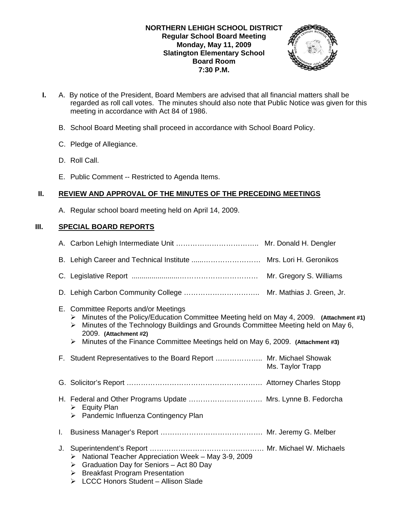

- **I.** A. By notice of the President, Board Members are advised that all financial matters shall be regarded as roll call votes. The minutes should also note that Public Notice was given for this meeting in accordance with Act 84 of 1986.
	- B. School Board Meeting shall proceed in accordance with School Board Policy.
	- C. Pledge of Allegiance.
	- D. Roll Call.
	- E. Public Comment -- Restricted to Agenda Items.

# **II. REVIEW AND APPROVAL OF THE MINUTES OF THE PRECEDING MEETINGS**

A. Regular school board meeting held on April 14, 2009.

# **III. SPECIAL BOARD REPORTS**

|    | E. Committee Reports and/or Meetings<br>Minutes of the Policy/Education Committee Meeting held on May 4, 2009. (Attachment #1)<br>➤<br>Minutes of the Technology Buildings and Grounds Committee Meeting held on May 6,<br>➤<br>2009. (Attachment #2)<br>Minutes of the Finance Committee Meetings held on May 6, 2009. (Attachment #3)<br>➤ |                  |
|----|----------------------------------------------------------------------------------------------------------------------------------------------------------------------------------------------------------------------------------------------------------------------------------------------------------------------------------------------|------------------|
|    | F. Student Representatives to the Board Report  Mr. Michael Showak                                                                                                                                                                                                                                                                           | Ms. Taylor Trapp |
|    |                                                                                                                                                                                                                                                                                                                                              |                  |
|    | H. Federal and Other Programs Update  Mrs. Lynne B. Fedorcha<br>$\triangleright$ Equity Plan<br>> Pandemic Influenza Contingency Plan                                                                                                                                                                                                        |                  |
| Ι. |                                                                                                                                                                                                                                                                                                                                              |                  |
| J. | National Teacher Appreciation Week - May 3-9, 2009<br>≻<br>Graduation Day for Seniors - Act 80 Day<br>➤<br><b>Breakfast Program Presentation</b><br>➤<br>> LCCC Honors Student - Allison Slade                                                                                                                                               |                  |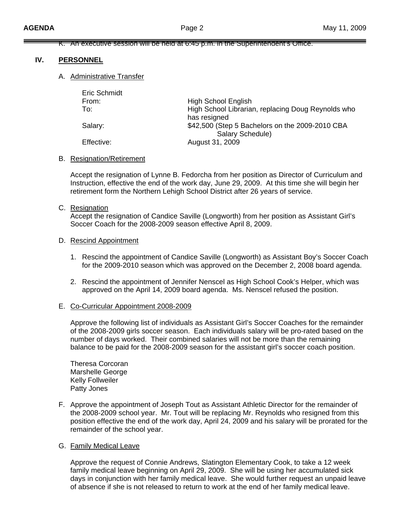### K. An executive session will be held at 6:45 p.m. in the Superintendent's Office.

## **IV. PERSONNEL**

### A. Administrative Transfer

| Eric Schmidt |                                                    |
|--------------|----------------------------------------------------|
| From:        | <b>High School English</b>                         |
| To:          | High School Librarian, replacing Doug Reynolds who |
|              | has resigned                                       |
| Salary:      | \$42,500 (Step 5 Bachelors on the 2009-2010 CBA    |
|              | Salary Schedule)                                   |
| Effective:   | August 31, 2009                                    |
|              |                                                    |

### B. Resignation/Retirement

 Accept the resignation of Lynne B. Fedorcha from her position as Director of Curriculum and Instruction, effective the end of the work day, June 29, 2009. At this time she will begin her retirement form the Northern Lehigh School District after 26 years of service.

### C. Resignation

 Accept the resignation of Candice Saville (Longworth) from her position as Assistant Girl's Soccer Coach for the 2008-2009 season effective April 8, 2009.

### D. Rescind Appointment

- 1. Rescind the appointment of Candice Saville (Longworth) as Assistant Boy's Soccer Coach for the 2009-2010 season which was approved on the December 2, 2008 board agenda.
- 2. Rescind the appointment of Jennifer Nenscel as High School Cook's Helper, which was approved on the April 14, 2009 board agenda. Ms. Nenscel refused the position.

### E. Co-Curricular Appointment 2008-2009

 Approve the following list of individuals as Assistant Girl's Soccer Coaches for the remainder of the 2008-2009 girls soccer season. Each individuals salary will be pro-rated based on the number of days worked. Their combined salaries will not be more than the remaining balance to be paid for the 2008-2009 season for the assistant girl's soccer coach position.

 Theresa Corcoran Marshelle George Kelly Follweiler Patty Jones

F. Approve the appointment of Joseph Tout as Assistant Athletic Director for the remainder of the 2008-2009 school year. Mr. Tout will be replacing Mr. Reynolds who resigned from this position effective the end of the work day, April 24, 2009 and his salary will be prorated for the remainder of the school year.

### G. Family Medical Leave

 Approve the request of Connie Andrews, Slatington Elementary Cook, to take a 12 week family medical leave beginning on April 29, 2009. She will be using her accumulated sick days in conjunction with her family medical leave. She would further request an unpaid leave of absence if she is not released to return to work at the end of her family medical leave.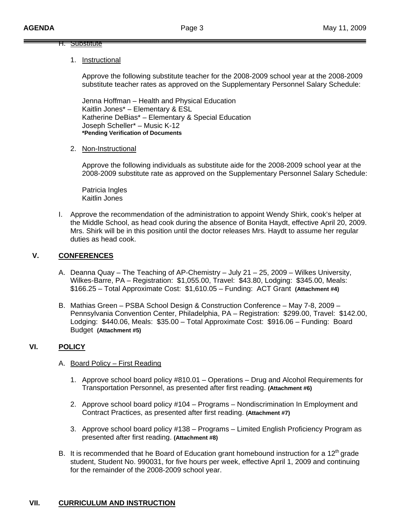### H. Substitute

## 1. Instructional

Approve the following substitute teacher for the 2008-2009 school year at the 2008-2009 substitute teacher rates as approved on the Supplementary Personnel Salary Schedule:

Jenna Hoffman – Health and Physical Education Kaitlin Jones\* – Elementary & ESL Katherine DeBias\* – Elementary & Special Education Joseph Scheller\* – Music K-12 **\*Pending Verification of Documents** 

2. Non-Instructional

Approve the following individuals as substitute aide for the 2008-2009 school year at the 2008-2009 substitute rate as approved on the Supplementary Personnel Salary Schedule:

Patricia Ingles Kaitlin Jones

I. Approve the recommendation of the administration to appoint Wendy Shirk, cook's helper at the Middle School, as head cook during the absence of Bonita Haydt, effective April 20, 2009. Mrs. Shirk will be in this position until the doctor releases Mrs. Haydt to assume her regular duties as head cook.

# **V. CONFERENCES**

- A. Deanna Quay The Teaching of AP-Chemistry July 21 25, 2009 Wilkes University, Wilkes-Barre, PA – Registration: \$1,055.00, Travel: \$43.80, Lodging: \$345.00, Meals: \$166.25 – Total Approximate Cost: \$1,610.05 – Funding: ACT Grant **(Attachment #4)**
- B. Mathias Green PSBA School Design & Construction Conference May 7-8, 2009 Pennsylvania Convention Center, Philadelphia, PA – Registration: \$299.00, Travel: \$142.00, Lodging: \$440.06, Meals: \$35.00 – Total Approximate Cost: \$916.06 – Funding: Board Budget **(Attachment #5)**

# **VI. POLICY**

# A. Board Policy – First Reading

- 1. Approve school board policy #810.01 Operations Drug and Alcohol Requirements for Transportation Personnel, as presented after first reading. **(Attachment #6)**
- 2. Approve school board policy #104 Programs Nondiscrimination In Employment and Contract Practices, as presented after first reading. **(Attachment #7)**
- 3. Approve school board policy #138 Programs Limited English Proficiency Program as presented after first reading. **(Attachment #8)**
- B. It is recommended that he Board of Education grant homebound instruction for a 12<sup>th</sup> grade student, Student No. 990031, for five hours per week, effective April 1, 2009 and continuing for the remainder of the 2008-2009 school year.

# **VII. CURRICULUM AND INSTRUCTION**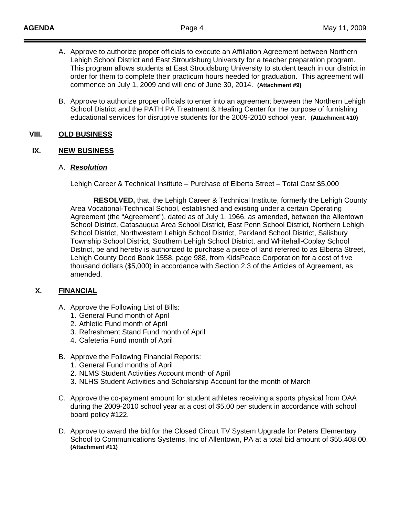- A. Approve to authorize proper officials to execute an Affiliation Agreement between Northern Lehigh School District and East Stroudsburg University for a teacher preparation program. This program allows students at East Stroudsburg University to student teach in our district in order for them to complete their practicum hours needed for graduation. This agreement will commence on July 1, 2009 and will end of June 30, 2014. **(Attachment #9)**
- B. Approve to authorize proper officials to enter into an agreement between the Northern Lehigh School District and the PATH PA Treatment & Healing Center for the purpose of furnishing educational services for disruptive students for the 2009-2010 school year. **(Attachment #10)**

## **VIII. OLD BUSINESS**

# **IX. NEW BUSINESS**

## A. *Resolution*

Lehigh Career & Technical Institute – Purchase of Elberta Street – Total Cost \$5,000

**RESOLVED,** that, the Lehigh Career & Technical Institute, formerly the Lehigh County Area Vocational-Technical School, established and existing under a certain Operating Agreement (the "Agreement"), dated as of July 1, 1966, as amended, between the Allentown School District, Catasauqua Area School District, East Penn School District, Northern Lehigh School District, Northwestern Lehigh School District, Parkland School District, Salisbury Township School District, Southern Lehigh School District, and Whitehall-Coplay School District, be and hereby is authorized to purchase a piece of land referred to as Elberta Street, Lehigh County Deed Book 1558, page 988, from KidsPeace Corporation for a cost of five thousand dollars (\$5,000) in accordance with Section 2.3 of the Articles of Agreement, as amended.

# **X. FINANCIAL**

- A. Approve the Following List of Bills:
	- 1. General Fund month of April
	- 2. Athletic Fund month of April
	- 3. Refreshment Stand Fund month of April
	- 4. Cafeteria Fund month of April
- B. Approve the Following Financial Reports:
	- 1. General Fund months of April
	- 2. NLMS Student Activities Account month of April
	- 3. NLHS Student Activities and Scholarship Account for the month of March
- C. Approve the co-payment amount for student athletes receiving a sports physical from OAA during the 2009-2010 school year at a cost of \$5.00 per student in accordance with school board policy #122.
- D. Approve to award the bid for the Closed Circuit TV System Upgrade for Peters Elementary School to Communications Systems, Inc of Allentown, PA at a total bid amount of \$55,408.00. **(Attachment #11)**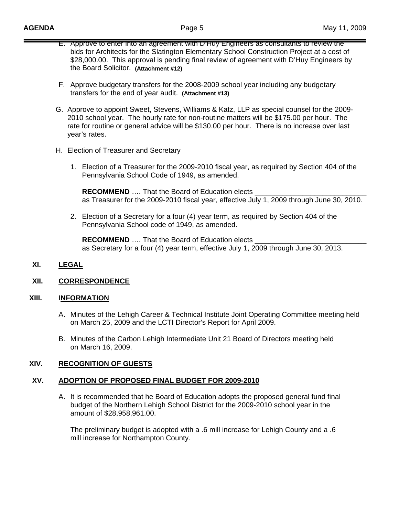- E. Approve to enter into an agreement with D'Huy Engineers as consultants to review the bids for Architects for the Slatington Elementary School Construction Project at a cost of \$28,000.00. This approval is pending final review of agreement with D'Huy Engineers by the Board Solicitor. **(Attachment #12)**
- F. Approve budgetary transfers for the 2008-2009 school year including any budgetary transfers for the end of year audit. **(Attachment #13)**
- G. Approve to appoint Sweet, Stevens, Williams & Katz, LLP as special counsel for the 2009- 2010 school year. The hourly rate for non-routine matters will be \$175.00 per hour. The rate for routine or general advice will be \$130.00 per hour. There is no increase over last year's rates.

## H. Election of Treasurer and Secretary

1. Election of a Treasurer for the 2009-2010 fiscal year, as required by Section 404 of the Pennsylvania School Code of 1949, as amended.

**RECOMMEND** .... That the Board of Education elects as Treasurer for the 2009-2010 fiscal year, effective July 1, 2009 through June 30, 2010.

2. Election of a Secretary for a four (4) year term, as required by Section 404 of the Pennsylvania School code of 1949, as amended.

**RECOMMEND** .... That the Board of Education elects \_ as Secretary for a four (4) year term, effective July 1, 2009 through June 30, 2013.

# **XI. LEGAL**

## **XII. CORRESPONDENCE**

## **XIII.** I**NFORMATION**

- A. Minutes of the Lehigh Career & Technical Institute Joint Operating Committee meeting held on March 25, 2009 and the LCTI Director's Report for April 2009.
- B. Minutes of the Carbon Lehigh Intermediate Unit 21 Board of Directors meeting held on March 16, 2009.

## **XIV. RECOGNITION OF GUESTS**

# **XV. ADOPTION OF PROPOSED FINAL BUDGET FOR 2009-2010**

A. It is recommended that he Board of Education adopts the proposed general fund final budget of the Northern Lehigh School District for the 2009-2010 school year in the amount of \$28,958,961.00.

 The preliminary budget is adopted with a .6 mill increase for Lehigh County and a .6 mill increase for Northampton County.